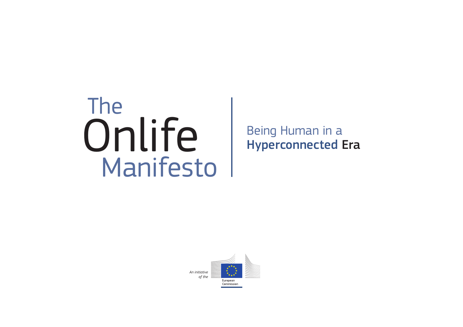# Onlife Manifesto The

Being Human in a Hyperconnected Era

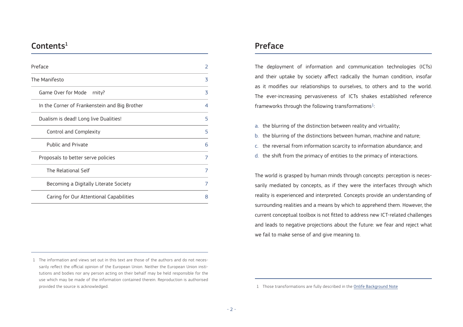### $Contents<sup>1</sup>$

| Preface                                       | 2 |
|-----------------------------------------------|---|
| The Manifesto                                 | 3 |
| Game Over for Mode<br>rnity?                  | 3 |
| In the Corner of Frankenstein and Big Brother | 4 |
| Dualism is dead! Long live Dualities!         | 5 |
| Control and Complexity                        | 5 |
| Public and Private                            | 6 |
| Proposals to better serve policies            | 7 |
| The Relational Self                           | 7 |
| Becoming a Digitally Literate Society         | 7 |
| Caring for Our Attentional Capabilities       | 8 |

1 The information and views set out in this text are those of the authors and do not necessarily reflect the official opinion of the European Union. Neither the European Union institutions and bodies nor any person acting on their behalf may be held responsible for the use which may be made of the information contained therein. Reproduction is authorised provided the source is acknowledged.

#### Preface

The deployment of information and communication technologies (ICTs) and their uptake by society affect radically the human condition, insofar as it modifies our relationships to ourselves, to others and to the world. The ever-increasing pervasiveness of ICTs shakes established reference frameworks through the following transformations<sup>1</sup>:

- a. the blurring of the distinction between reality and virtuality;
- b. the blurring of the distinctions between human, machine and nature;
- c. the reversal from information scarcity to information abundance; and
- d. the shift from the primacy of entities to the primacy of interactions.

The world is grasped by human minds through concepts: perception is necessarily mediated by concepts, as if they were the interfaces through which reality is experienced and interpreted. Concepts provide an understanding of surrounding realities and a means by which to apprehend them. However, the current conceptual toolbox is not fitted to address new ICT-related challenges and leads to negative projections about the future: we fear and reject what we fail to make sense of and give meaning to.

<sup>1</sup> Those transformations are fully described in the [Onlife](https://ec.europa.eu/digital-agenda/en/background-note) Background Note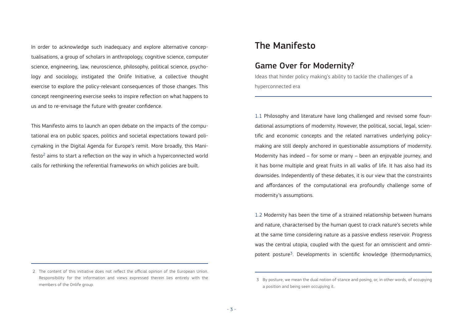<span id="page-2-0"></span>In order to acknowledge such inadequacy and explore alternative conceptualisations, a group of scholars in anthropology, cognitive science, computer science, engineering, law, neuroscience, philosophy, political science, psychology and sociology, instigated the Onlife Initiative, a collective thought exercise to explore the policy-relevant consequences of those changes. This concept reengineering exercise seeks to inspire reflection on what happens to us and to re-envisage the future with greater confidence.

This Manifesto aims to launch an open debate on the impacts of the computational era on public spaces, politics and societal expectations toward policymaking in the Digital Agenda for Europe's remit. More broadly, this Manifesto<sup>2</sup> aims to start a reflection on the way in which a hyperconnected world calls for rethinking the referential frameworks on which policies are built.

## The Manifesto

#### Game Over for Modernity?

Ideas that hinder policy making's ability to tackle the challenges of a hyperconnected era

1.1 Philosophy and literature have long challenged and revised some foundational assumptions of modernity. However, the political, social, legal, scientific and economic concepts and the related narratives underlying policymaking are still deeply anchored in questionable assumptions of modernity. Modernity has indeed – for some or many – been an enjoyable journey, and it has borne multiple and great fruits in all walks of life. It has also had its downsides. Independently of these debates, it is our view that the constraints and affordances of the computational era profoundly challenge some of modernity's assumptions.

1.2 Modernity has been the time of a strained relationship between humans and nature, characterised by the human quest to crack nature's secrets while at the same time considering nature as a passive endless reservoir. Progress was the central utopia, coupled with the quest for an omniscient and omnipotent posture3. Developments in scientific knowledge (thermodynamics,

<sup>2</sup> The content of this initiative does not reflect the official opinion of the European Union. Responsibility for the information and views expressed therein lies entirely with the members of the Onlife group.

<sup>3</sup> By posture, we mean the dual notion of stance and posing, or, in other words, of occupying a position and being seen occupying it.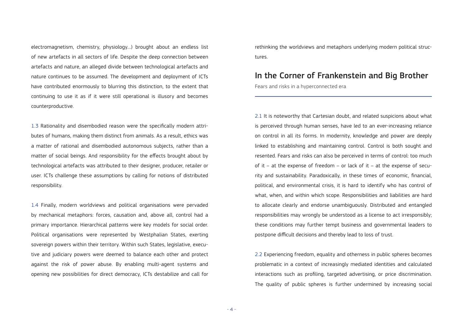<span id="page-3-0"></span>electromagnetism, chemistry, physiology…) brought about an endless list of new artefacts in all sectors of life. Despite the deep connection between artefacts and nature, an alleged divide between technological artefacts and nature continues to be assumed. The development and deployment of ICTs have contributed enormously to blurring this distinction, to the extent that continuing to use it as if it were still operational is illusory and becomes counterproductive.

1.3 Rationality and disembodied reason were the specifically modern attributes of humans, making them distinct from animals. As a result, ethics was a matter of rational and disembodied autonomous subjects, rather than a matter of social beings. And responsibility for the effects brought about by technological artefacts was attributed to their designer, producer, retailer or user. ICTs challenge these assumptions by calling for notions of distributed responsibility.

1.4 Finally, modern worldviews and political organisations were pervaded by mechanical metaphors: forces, causation and, above all, control had a primary importance. Hierarchical patterns were key models for social order. Political organisations were represented by Westphalian States, exerting sovereign powers within their territory. Within such States, legislative, executive and judiciary powers were deemed to balance each other and protect against the risk of power abuse. By enabling multi-agent systems and opening new possibilities for direct democracy, ICTs destabilize and call for rethinking the worldviews and metaphors underlying modern political structures.

#### In the Corner of Frankenstein and Big Brother

Fears and risks in a hyperconnected era

2.1 It is noteworthy that Cartesian doubt, and related suspicions about what is perceived through human senses, have led to an ever-increasing reliance on control in all its forms. In modernity, knowledge and power are deeply linked to establishing and maintaining control. Control is both sought and resented. Fears and risks can also be perceived in terms of control: too much of it – at the expense of freedom – or lack of it – at the expense of security and sustainability. Paradoxically, in these times of economic, financial, political, and environmental crisis, it is hard to identify who has control of what, when, and within which scope. Responsibilities and liabilities are hard to allocate clearly and endorse unambiguously. Distributed and entangled responsibilities may wrongly be understood as a license to act irresponsibly; these conditions may further tempt business and governmental leaders to postpone difficult decisions and thereby lead to loss of trust.

2.2 Experiencing freedom, equality and otherness in public spheres becomes problematic in a context of increasingly mediated identities and calculated interactions such as profiling, targeted advertising, or price discrimination. The quality of public spheres is further undermined by increasing social

 $-4-$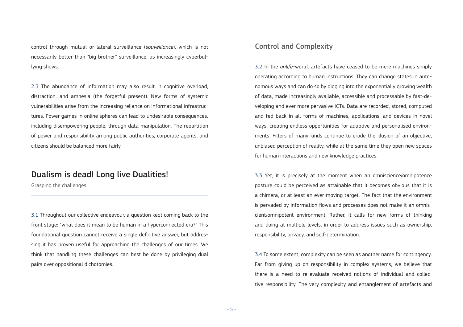<span id="page-4-0"></span>control through mutual or lateral surveillance (*souveillance*), which is not necessarily better than "big brother" surveillance, as increasingly cyberbullying shows.

2.3 The abundance of information may also result in cognitive overload, distraction, and amnesia (the forgetful present). New forms of systemic vulnerabilities arise from the increasing reliance on informational infrastructures. Power games in online spheres can lead to undesirable consequences, including disempowering people, through data manipulation. The repartition of power and responsibility among public authorities, corporate agents, and citizens should be balanced more fairly.

#### Dualism is dead! Long live Dualities!

Grasping the challenges

3.1 Throughout our collective endeavour, a question kept coming back to the front stage: "what does it mean to be human in a hyperconnected era?" This foundational question cannot receive a single definitive answer, but addressing it has proven useful for approaching the challenges of our times. We think that handling these challenges can best be done by privileging dual pairs over oppositional dichotomies.

#### Control and Complexity

3.2 In the *onlife*-world, artefacts have ceased to be mere machines simply operating according to human instructions. They can change states in autonomous ways and can do so by digging into the exponentially growing wealth of data, made increasingly available, accessible and processable by fast-developing and ever more pervasive ICTs. Data are recorded, stored, computed and fed back in all forms of machines, applications, and devices in novel ways, creating endless opportunities for adaptive and personalised environments. Filters of many kinds continue to erode the illusion of an objective, unbiased perception of reality, while at the same time they open new spaces for human interactions and new knowledge practices.

3.3 Yet, it is precisely at the moment when an omniscience/omnipotence posture could be perceived as attainable that it becomes obvious that it is a chimera, or at least an ever-moving target. The fact that the environment is pervaded by information flows and processes does not make it an omniscient/omnipotent environment. Rather, it calls for new forms of thinking and doing at multiple levels, in order to address issues such as ownership, responsibility, privacy, and self-determination.

3.4 To some extent, complexity can be seen as another name for contingency. Far from giving up on responsibility in complex systems, we believe that there is a need to re-evaluate received notions of individual and collective responsibility. The very complexity and entanglement of artefacts and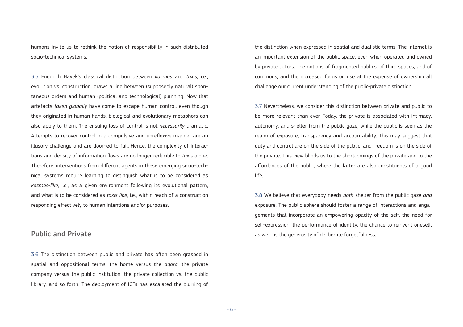<span id="page-5-0"></span>humans invite us to rethink the notion of responsibility in such distributed socio-technical systems.

3.5 Friedrich Hayek's classical distinction between *kosmos* and *taxis*, i.e., evolution vs. construction, draws a line between (supposedly natural) spontaneous orders and human (political and technological) planning. Now that artefacts *taken globally* have come to escape human control, even though they originated in human hands, biological and evolutionary metaphors can also apply to them. The ensuing loss of control is not *necessarily* dramatic. Attempts to recover control in a compulsive and unreflexive manner are an illusory challenge and are doomed to fail. Hence, the complexity of interactions and density of information flows are no longer reducible to *taxis* alone. Therefore, interventions from different agents in these emerging socio-technical systems require learning to distinguish what is to be considered as *kosmos-like*, i.e., as a given environment following its evolutional pattern, and what is to be considered as *taxis-like*, i.e., within reach of a construction responding effectively to human intentions and/or purposes.

#### Public and Private

3.6 The distinction between public and private has often been grasped in spatial and oppositional terms: the home versus the *agora*, the private company versus the public institution, the private collection vs. the public library, and so forth. The deployment of ICTs has escalated the blurring of the distinction when expressed in spatial and dualistic terms. The Internet is an important extension of the public space, even when operated and owned by private actors. The notions of fragmented publics, of third spaces, and of commons, and the increased focus on use at the expense of ownership all challenge our current understanding of the public-private distinction.

3.7 Nevertheless, we consider this distinction between private and public to be more relevant than ever. Today, the private is associated with intimacy, autonomy, and shelter from the public gaze, while the public is seen as the realm of exposure, transparency and accountability. This may suggest that duty and control are on the side of the public, and freedom is on the side of the private. This view blinds us to the shortcomings of the private and to the affordances of the public, where the latter are also constituents of a good life.

3.8 We believe that everybody needs *both* shelter from the public gaze *and*  exposure. The public sphere should foster a range of interactions and engagements that incorporate an empowering opacity of the self, the need for self-expression, the performance of identity, the chance to reinvent oneself, as well as the generosity of deliberate forgetfulness.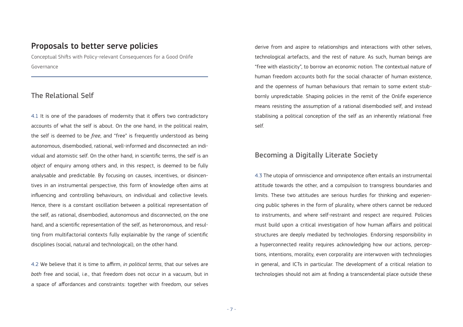#### <span id="page-6-0"></span>Proposals to better serve policies

Conceptual Shifts with Policy-relevant Consequences for a Good Onlife Governance

#### The Relational Self

4.1 It is one of the paradoxes of modernity that it offers two contradictory accounts of what the self is about. On the one hand, in the political realm, the self is deemed to be *free*, and "free" is frequently understood as being autonomous, disembodied, rational, well-informed and disconnected: an individual and atomistic self. On the other hand, in scientific terms, the self is an *object* of enquiry among others and, in this respect, is deemed to be fully analysable and predictable. By focusing on causes, incentives, or disincentives in an instrumental perspective, this form of knowledge often aims at influencing and controlling behaviours, on individual and collective levels. Hence, there is a constant oscillation between a political representation of the self, as rational, disembodied, autonomous and disconnected, on the one hand, and a scientific representation of the self, as heteronomous, and resulting from multifactorial contexts fully explainable by the range of scientific disciplines (social, natural and technological), on the other hand.

4.2 We believe that it is time to affirm, *in political terms*, that our selves are *both* free and social, i.e., that freedom does not occur in a vacuum, but in a space of affordances and constraints: together with freedom, our selves derive from and aspire to relationships and interactions with other selves, technological artefacts, and the rest of nature. As such, human beings are "free with elasticity", to borrow an economic notion. The contextual nature of human freedom accounts both for the social character of human existence, and the openness of human behaviours that remain to some extent stubbornly unpredictable. Shaping policies in the remit of the Onlife experience means resisting the assumption of a rational disembodied self, and instead stabilising a political conception of the self as an inherently relational free self.

#### Becoming a Digitally Literate Society

4.3 The utopia of omniscience and omnipotence often entails an instrumental attitude towards the other, and a compulsion to transgress boundaries and limits. These two attitudes are serious hurdles for thinking and experiencing public spheres in the form of plurality, where others cannot be reduced to instruments, and where self-restraint and respect are required. Policies must build upon a critical investigation of how human affairs and political structures are deeply mediated by technologies. Endorsing responsibility in a hyperconnected reality requires acknowledging how our actions, perceptions, intentions, morality, even corporality are interwoven with technologies in general, and ICTs in particular. The development of a critical relation to technologies should not aim at finding a transcendental place outside these